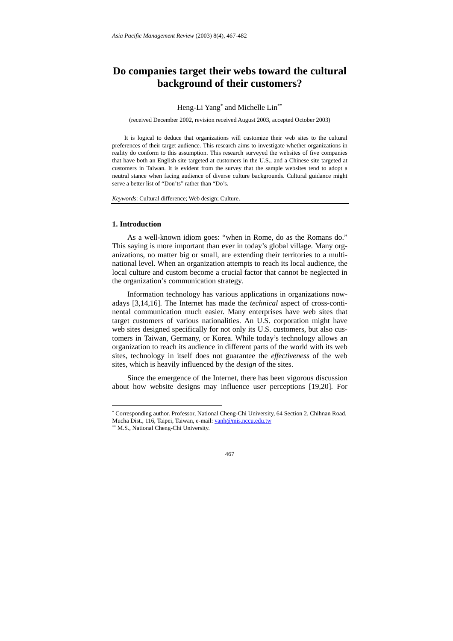# **Do companies target their webs toward the cultural background of their customers?**

# Heng-Li Yang<sup>\*</sup> and Michelle Lin<sup>\*\*</sup>

(received December 2002, revision received August 2003, accepted October 2003)

It is logical to deduce that organizations will customize their web sites to the cultural preferences of their target audience. This research aims to investigate whether organizations in reality do conform to this assumption. This research surveyed the websites of five companies that have both an English site targeted at customers in the U.S., and a Chinese site targeted at customers in Taiwan. It is evident from the survey that the sample websites tend to adopt a neutral stance when facing audience of diverse culture backgrounds. Cultural guidance might serve a better list of "Don'ts" rather than "Do's.

*Keywords*: Cultural difference; Web design; Culture.

#### **1. Introduction**

As a well-known idiom goes: "when in Rome, do as the Romans do." This saying is more important than ever in today's global village. Many organizations, no matter big or small, are extending their territories to a multinational level. When an organization attempts to reach its local audience, the local culture and custom become a crucial factor that cannot be neglected in the organization's communication strategy.

Information technology has various applications in organizations nowadays [3,14,16]. The Internet has made the *technical* aspect of cross-continental communication much easier. Many enterprises have web sites that target customers of various nationalities. An U.S. corporation might have web sites designed specifically for not only its U.S. customers, but also customers in Taiwan, Germany, or Korea. While today's technology allows an organization to reach its audience in different parts of the world with its web sites, technology in itself does not guarantee the *effectiveness* of the web sites, which is heavily influenced by the *design* of the sites.

Since the emergence of the Internet, there has been vigorous discussion about how website designs may influence user perceptions [19,20]. For

 $\overline{a}$ 

<sup>∗</sup> Corresponding author. Professor, National Cheng-Chi University, 64 Section 2, Chihnan Road, Mucha Dist., 116, Taipei, Taiwan, e-mail: yanh@mis.nccu.edu.tw

<sup>∗∗</sup> M.S., National Cheng-Chi University.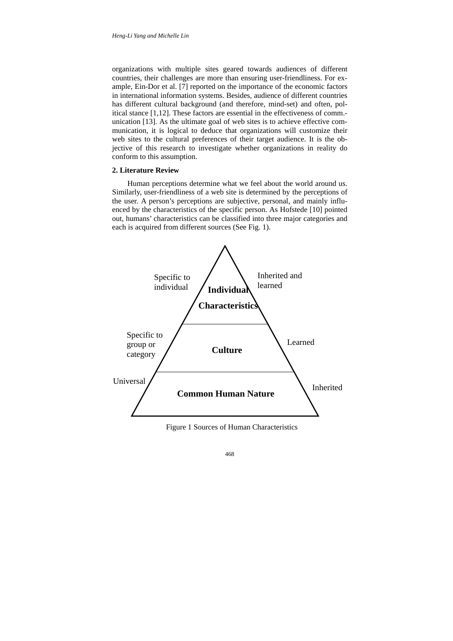organizations with multiple sites geared towards audiences of different countries, their challenges are more than ensuring user-friendliness. For example, Ein-Dor et al. [7] reported on the importance of the economic factors in international information systems. Besides, audience of different countries has different cultural background (and therefore, mind-set) and often, political stance [1,12]. These factors are essential in the effectiveness of comm. unication [13]. As the ultimate goal of web sites is to achieve effective communication, it is logical to deduce that organizations will customize their web sites to the cultural preferences of their target audience. It is the objective of this research to investigate whether organizations in reality do conform to this assumption.

#### **2. Literature Review**

Human perceptions determine what we feel about the world around us. Similarly, user-friendliness of a web site is determined by the perceptions of the user. A person's perceptions are subjective, personal, and mainly influenced by the characteristics of the specific person. As Hofstede [10] pointed out, humans' characteristics can be classified into three major categories and each is acquired from different sources (See Fig. 1).



Figure 1 Sources of Human Characteristics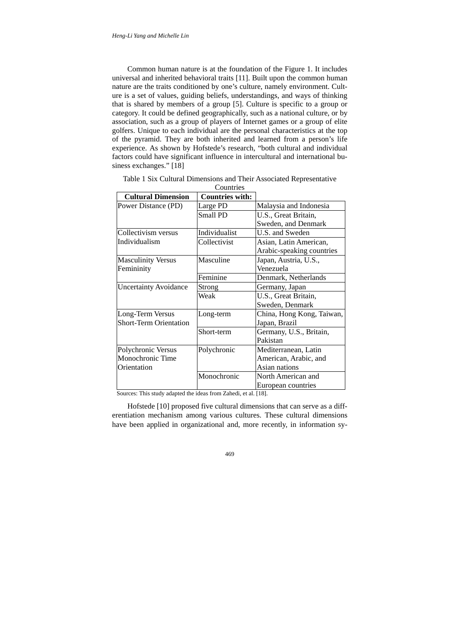Common human nature is at the foundation of the Figure 1. It includes universal and inherited behavioral traits [11]. Built upon the common human nature are the traits conditioned by one's culture, namely environment. Culture is a set of values, guiding beliefs, understandings, and ways of thinking that is shared by members of a group [5]. Culture is specific to a group or category. It could be defined geographically, such as a national culture, or by association, such as a group of players of Internet games or a group of elite golfers. Unique to each individual are the personal characteristics at the top of the pyramid. They are both inherited and learned from a person's life experience. As shown by Hofstede's research, "both cultural and individual factors could have significant influence in intercultural and international business exchanges." [18]

| <b>Cultural Dimension</b>     | <b>Countries with:</b> |                           |
|-------------------------------|------------------------|---------------------------|
| Power Distance (PD)           | Large PD               | Malaysia and Indonesia    |
|                               | Small PD               | U.S., Great Britain,      |
|                               |                        | Sweden, and Denmark       |
| Collectivism versus           | Individualist          | U.S. and Sweden           |
| Individualism                 | Collectivist           | Asian, Latin American,    |
|                               |                        | Arabic-speaking countries |
| <b>Masculinity Versus</b>     | Masculine              | Japan, Austria, U.S.,     |
| Femininity                    |                        | Venezuela                 |
|                               | Feminine               | Denmark, Netherlands      |
| <b>Uncertainty Avoidance</b>  | <b>Strong</b>          | Germany, Japan            |
|                               | Weak                   | U.S., Great Britain,      |
|                               |                        | Sweden, Denmark           |
| Long-Term Versus              | Long-term              | China, Hong Kong, Taiwan, |
| <b>Short-Term Orientation</b> |                        | Japan, Brazil             |
|                               | Short-term             | Germany, U.S., Britain,   |
|                               |                        | Pakistan                  |
| Polychronic Versus            | Polychronic            | Mediterranean, Latin      |
| Monochronic Time              |                        | American, Arabic, and     |
| Orientation                   |                        | Asian nations             |
|                               | Monochronic            | North American and        |
|                               |                        | European countries        |

Table 1 Six Cultural Dimensions and Their Associated Representative  $Conmitico$ 

Sources: This study adapted the ideas from Zahedi, et al. [18].

Hofstede [10] proposed five cultural dimensions that can serve as a differentiation mechanism among various cultures. These cultural dimensions have been applied in organizational and, more recently, in information sy-

469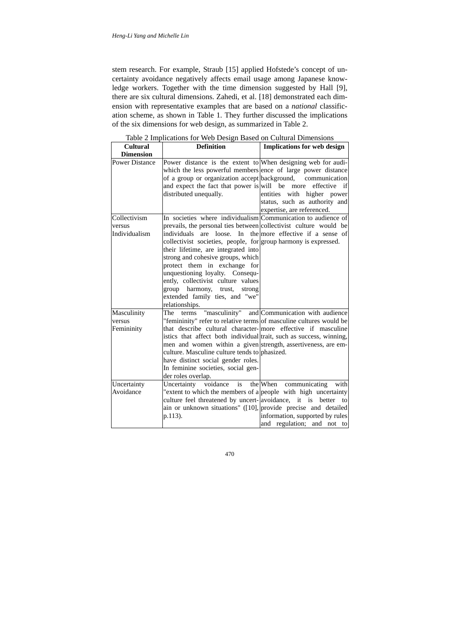stem research. For example, Straub [15] applied Hofstede's concept of uncertainty avoidance negatively affects email usage among Japanese knowledge workers. Together with the time dimension suggested by Hall [9], there are six cultural dimensions. Zahedi, et al. [18] demonstrated each dimension with representative examples that are based on a *national* classification scheme, as shown in Table 1. They further discussed the implications of the six dimensions for web design, as summarized in Table 2.

| <b>Cultural</b>                         | <b>Definition</b>                                                                                                                                                                                                                                                                                                                                                                                                                                                                                                       | <b>Implications for web design</b>                                                                           |
|-----------------------------------------|-------------------------------------------------------------------------------------------------------------------------------------------------------------------------------------------------------------------------------------------------------------------------------------------------------------------------------------------------------------------------------------------------------------------------------------------------------------------------------------------------------------------------|--------------------------------------------------------------------------------------------------------------|
| <b>Dimension</b>                        |                                                                                                                                                                                                                                                                                                                                                                                                                                                                                                                         |                                                                                                              |
| <b>Power Distance</b>                   | Power distance is the extent to When designing web for audi-<br>which the less powerful members ence of large power distance<br>of a group or organization accept background, communication<br>and expect the fact that power is will be more<br>distributed unequally.                                                                                                                                                                                                                                                 | effective<br>if<br>entities with higher power<br>status, such as authority and<br>expertise, are referenced. |
| Collectivism<br>versus<br>Individualism | In societies where individualism Communication to audience of<br>prevails, the personal ties between collectivist culture would be<br>individuals<br>are<br>loose.<br>In<br>collectivist societies, people, for group harmony is expressed.<br>their lifetime, are integrated into<br>strong and cohesive groups, which<br>protect them in exchange for<br>unquestioning loyalty. Consequ-<br>ently, collectivist culture values<br>group harmony, trust,<br>strong<br>extended family ties, and "we"<br>relationships. | the more effective if a sense of                                                                             |
| Masculinity<br>versus<br>Femininity     | The<br>terms<br>"femininity" refer to relative terms of masculine cultures would be<br>that describe cultural character-more effective if masculine<br>istics that affect both individual trait, such as success, winning,<br>men and women within a given strength, assertiveness, are em-<br>culture. Masculine culture tends to phasized.<br>have distinct social gender roles.<br>In feminine societies, social gen-<br>der roles overlap.                                                                          | "masculinity" and Communication with audience                                                                |
| Uncertainty<br>Avoidance                | Uncertainty voidance<br>is<br>"extent to which the members of a people with high uncertainty<br>culture feel threatened by uncert- avoidance, it is better<br>ain or unknown situations" ([10], provide precise and detailed<br>p.113).                                                                                                                                                                                                                                                                                 | the When communicating<br>with<br>to<br>information, supported by rules<br>and regulation; and not to        |

Table 2 Implications for Web Design Based on Cultural Dimensions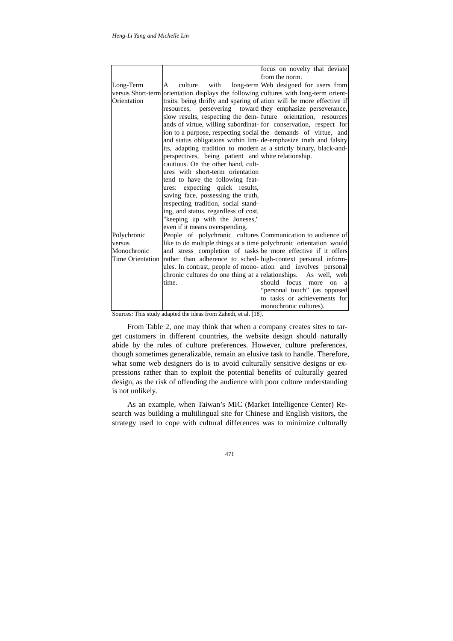|                  |                                                                                      | focus on novelty that deviate                            |
|------------------|--------------------------------------------------------------------------------------|----------------------------------------------------------|
|                  |                                                                                      | from the norm.                                           |
| Long-Term        | with<br>$\mathsf{A}$<br>culture                                                      | long-term Web designed for users from                    |
|                  | versus Short-term orientation displays the following cultures with long-term orient- |                                                          |
| Orientation      | traits: being thrifty and sparing of ation will be more effective if                 |                                                          |
|                  | resources.                                                                           | persevering toward they emphasize perseverance,          |
|                  | slow results, respecting the dem-<br>future orientation, resources                   |                                                          |
|                  | ands of virtue, willing subordinat-for conservation, respect for                     |                                                          |
|                  | ion to a purpose, respecting social the demands of virtue, and                       |                                                          |
|                  | and status obligations within lim-de-emphasize truth and falsity                     |                                                          |
|                  | its, adapting tradition to modern as a strictly binary, black-and-                   |                                                          |
|                  | perspectives, being patient and white relationship.                                  |                                                          |
|                  | cautious. On the other hand, cult-                                                   |                                                          |
|                  | ures with short-term orientation                                                     |                                                          |
|                  | tend to have the following feat-                                                     |                                                          |
|                  | ures: expecting quick results,                                                       |                                                          |
|                  | saving face, possessing the truth,                                                   |                                                          |
|                  | respecting tradition, social stand-                                                  |                                                          |
|                  | ing, and status, regardless of cost,                                                 |                                                          |
|                  | "keeping up with the Joneses,"                                                       |                                                          |
|                  | even if it means overspending.                                                       |                                                          |
| Polychronic      | People of polychronic cultures Communication to audience of                          |                                                          |
| versus           | like to do multiple things at a time polychronic orientation would                   |                                                          |
| Monochronic      | and stress completion of tasks be more effective if it offers                        |                                                          |
| Time Orientation | rather than adherence to sched-lhigh-context personal inform-                        |                                                          |
|                  | ules. In contrast, people of mono-ation and involves personal                        |                                                          |
|                  | chronic cultures do one thing at a relationships. As well, web                       |                                                          |
|                  | time.                                                                                | focus<br>should<br>more<br><sub>on</sub><br><sub>a</sub> |
|                  |                                                                                      | "personal touch" (as opposed                             |
|                  |                                                                                      | to tasks or achievements for                             |
|                  |                                                                                      | monochronic cultures).                                   |

Sources: This study adapted the ideas from Zahedi, et al. [18].

From Table 2, one may think that when a company creates sites to target customers in different countries, the website design should naturally abide by the rules of culture preferences. However, culture preferences, though sometimes generalizable, remain an elusive task to handle. Therefore, what some web designers do is to avoid culturally sensitive designs or expressions rather than to exploit the potential benefits of culturally geared design, as the risk of offending the audience with poor culture understanding is not unlikely.

As an example, when Taiwan's MIC (Market Intelligence Center) Research was building a multilingual site for Chinese and English visitors, the strategy used to cope with cultural differences was to minimize culturally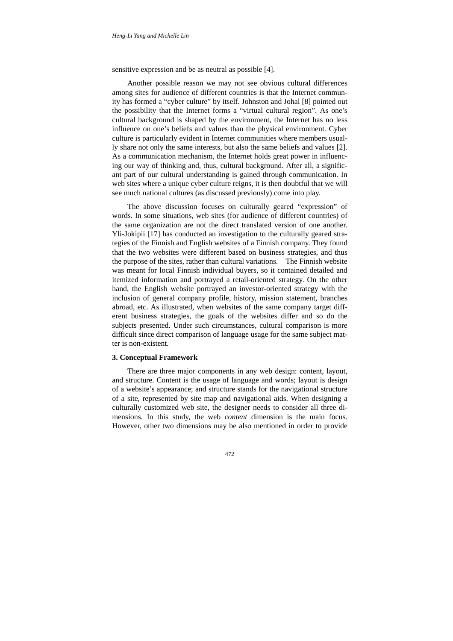sensitive expression and be as neutral as possible [4].

Another possible reason we may not see obvious cultural differences among sites for audience of different countries is that the Internet community has formed a "cyber culture" by itself. Johnston and Johal [8] pointed out the possibility that the Internet forms a "virtual cultural region". As one's cultural background is shaped by the environment, the Internet has no less influence on one's beliefs and values than the physical environment. Cyber culture is particularly evident in Internet communities where members usually share not only the same interests, but also the same beliefs and values [2]. As a communication mechanism, the Internet holds great power in influencing our way of thinking and, thus, cultural background. After all, a significant part of our cultural understanding is gained through communication. In web sites where a unique cyber culture reigns, it is then doubtful that we will see much national cultures (as discussed previously) come into play.

The above discussion focuses on culturally geared "expression" of words. In some situations, web sites (for audience of different countries) of the same organization are not the direct translated version of one another. Yli-Jokipii [17] has conducted an investigation to the culturally geared strategies of the Finnish and English websites of a Finnish company. They found that the two websites were different based on business strategies, and thus the purpose of the sites, rather than cultural variations. The Finnish website was meant for local Finnish individual buyers, so it contained detailed and itemized information and portrayed a retail-oriented strategy. On the other hand, the English website portrayed an investor-oriented strategy with the inclusion of general company profile, history, mission statement, branches abroad, etc. As illustrated, when websites of the same company target different business strategies, the goals of the websites differ and so do the subjects presented. Under such circumstances, cultural comparison is more difficult since direct comparison of language usage for the same subject matter is non-existent.

#### **3. Conceptual Framework**

There are three major components in any web design: content, layout, and structure. Content is the usage of language and words; layout is design of a website's appearance; and structure stands for the navigational structure of a site, represented by site map and navigational aids. When designing a culturally customized web site, the designer needs to consider all three dimensions. In this study, the web *content* dimension is the main focus. However, other two dimensions may be also mentioned in order to provide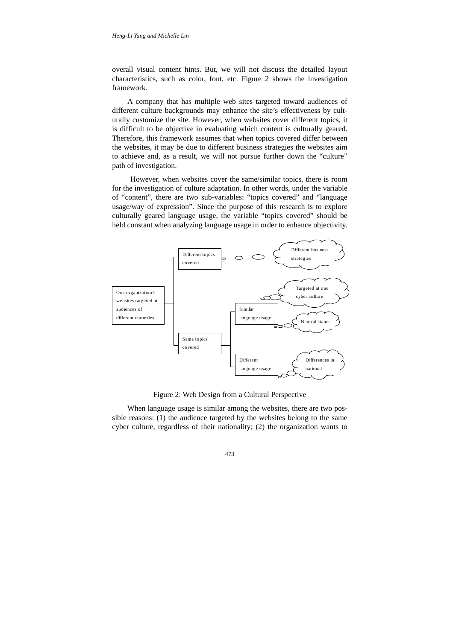overall visual content hints. But, we will not discuss the detailed layout characteristics, such as color, font, etc. Figure 2 shows the investigation framework.

A company that has multiple web sites targeted toward audiences of different culture backgrounds may enhance the site's effectiveness by culturally customize the site. However, when websites cover different topics, it is difficult to be objective in evaluating which content is culturally geared. Therefore, this framework assumes that when topics covered differ between the websites, it may be due to different business strategies the websites aim to achieve and, as a result, we will not pursue further down the "culture" path of investigation.

However, when websites cover the same/similar topics, there is room for the investigation of culture adaptation. In other words, under the variable of "content", there are two sub-variables: "topics covered" and "language usage/way of expression". Since the purpose of this research is to explore culturally geared language usage, the variable "topics covered" should be held constant when analyzing language usage in order to enhance objectivity.



Figure 2: Web Design from a Cultural Perspective

When language usage is similar among the websites, there are two possible reasons: (1) the audience targeted by the websites belong to the same cyber culture, regardless of their nationality; (2) the organization wants to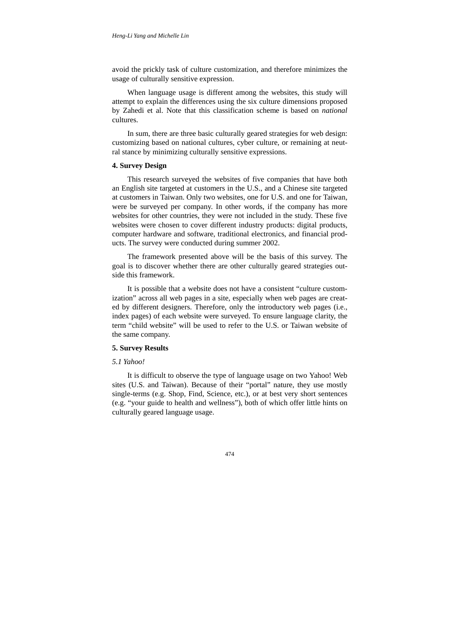avoid the prickly task of culture customization, and therefore minimizes the usage of culturally sensitive expression.

When language usage is different among the websites, this study will attempt to explain the differences using the six culture dimensions proposed by Zahedi et al. Note that this classification scheme is based on *national* cultures.

In sum, there are three basic culturally geared strategies for web design: customizing based on national cultures, cyber culture, or remaining at neutral stance by minimizing culturally sensitive expressions.

#### **4. Survey Design**

This research surveyed the websites of five companies that have both an English site targeted at customers in the U.S., and a Chinese site targeted at customers in Taiwan. Only two websites, one for U.S. and one for Taiwan, were be surveyed per company. In other words, if the company has more websites for other countries, they were not included in the study. These five websites were chosen to cover different industry products: digital products, computer hardware and software, traditional electronics, and financial products. The survey were conducted during summer 2002.

The framework presented above will be the basis of this survey. The goal is to discover whether there are other culturally geared strategies outside this framework.

It is possible that a website does not have a consistent "culture customization" across all web pages in a site, especially when web pages are created by different designers. Therefore, only the introductory web pages (i.e., index pages) of each website were surveyed. To ensure language clarity, the term "child website" will be used to refer to the U.S. or Taiwan website of the same company.

#### **5. Survey Results**

# *5.1 Yahoo!*

It is difficult to observe the type of language usage on two Yahoo! Web sites (U.S. and Taiwan). Because of their "portal" nature, they use mostly single-terms (e.g. Shop, Find, Science, etc.), or at best very short sentences (e.g. "your guide to health and wellness"), both of which offer little hints on culturally geared language usage.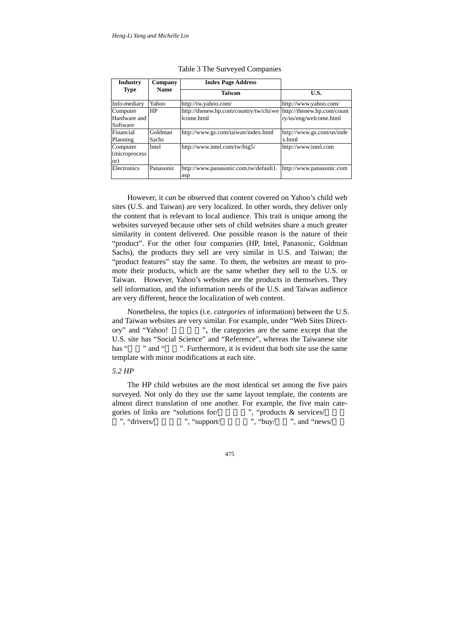| <b>Industry</b><br>Company           |                         | <b>Index Page Address</b>                            |                                                      |  |
|--------------------------------------|-------------------------|------------------------------------------------------|------------------------------------------------------|--|
| <b>Type</b>                          | <b>Name</b>             | <b>Taiwan</b>                                        | U.S.                                                 |  |
| Info-mediary                         | Yahoo                   | http://tw.yahoo.com/                                 | http://www.yahoo.com/                                |  |
| Computer<br>Hardware and<br>Software | <b>HP</b>               | http://thenew.hp.com/country/tw/chi/we<br>lcome.html | http://thenew.hp.com/count<br>ry/us/eng/welcome.html |  |
| Financial<br>Planning                | Goldman<br><b>Sachs</b> | http://www.gs.com/taiwan/index.html                  | http://www.gs.com/us/inde<br>x.html                  |  |
| Computer<br>(microprocess)<br>or)    | Intel                   | http://www.intel.com/tw/big5/                        | http://www.intel.com                                 |  |
| Electronics                          | Panasonic               | http://www.panasonic.com.tw/default1.<br>asp         | http://www.panasonic.com                             |  |

Table 3 The Surveyed Companies

However, it *can* be observed that content covered on Yahoo's child web sites (U.S. and Taiwan) are very localized. In other words, they deliver only the content that is relevant to local audience. This trait is unique among the websites surveyed because other sets of child websites share a much greater similarity in content delivered. One possible reason is the nature of their "product". For the other four companies (HP, Intel, Panasonic, Goldman Sachs), the products they sell are very similar in U.S. and Taiwan; the "product features" stay the same. To them, the websites are meant to promote their products, which are the same whether they sell to the U.S. or Taiwan. However, Yahoo's websites are the products in themselves. They sell information, and the information needs of the U.S. and Taiwan audience are very different, hence the localization of web content.

Nonetheless, the topics (i.e. *categories* of information) between the U.S. and Taiwan websites are very similar. For example, under "Web Sites Directory" and "Yahoo!", the categories are the same except that the U.S. site has "Social Science" and "Reference", whereas the Taiwanese site has "" and "". Furthermore, it is evident that both site use the same template with minor modifications at each site.

### *5.2 HP*

The HP child websites are the most identical set among the five pairs surveyed. Not only do they use the same layout template, the contents are almost direct translation of one another. For example, the five main categories of links are "solutions for  $\ell$  ", "products  $\&$  services/ ", "drivers/", "support/", "buy/", and "news", " $\frac{1}{2}$ ", "support/", and "news/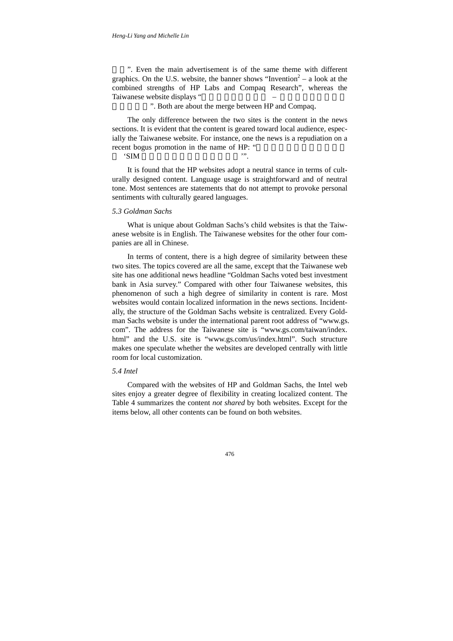". Even the main advertisement is of the same theme with different graphics. On the U.S. website, the banner shows "Invention<sup>2</sup> – a look at the combined strengths of HP Labs and Compaq Research", whereas the Taiwanese website displays "

". Both are about the merge between HP and Compaq.

The only difference between the two sites is the content in the news sections. It is evident that the content is geared toward local audience, especially the Taiwanese website. For instance, one the news is a repudiation on a recent bogus promotion in the name of HP: "

'SIM 卡抽獎活動,消費者切勿上當'".

It is found that the HP websites adopt a neutral stance in terms of culturally designed content. Language usage is straightforward and of neutral tone. Most sentences are statements that do not attempt to provoke personal sentiments with culturally geared languages.

#### *5.3 Goldman Sachs*

What is unique about Goldman Sachs's child websites is that the Taiwanese website is in English. The Taiwanese websites for the other four companies are all in Chinese.

In terms of content, there is a high degree of similarity between these two sites. The topics covered are all the same, except that the Taiwanese web site has one additional news headline "Goldman Sachs voted best investment bank in Asia survey." Compared with other four Taiwanese websites, this phenomenon of such a high degree of similarity in content is rare. Most websites would contain localized information in the news sections. Incidentally, the structure of the Goldman Sachs website is centralized. Every Goldman Sachs website is under the international parent root address of "www.gs. com". The address for the Taiwanese site is "www.gs.com/taiwan/index. html" and the U.S. site is "www.gs.com/us/index.html". Such structure makes one speculate whether the websites are developed centrally with little room for local customization.

#### *5.4 Intel*

Compared with the websites of HP and Goldman Sachs, the Intel web sites enjoy a greater degree of flexibility in creating localized content. The Table 4 summarizes the content *not shared* by both websites. Except for the items below, all other contents can be found on both websites.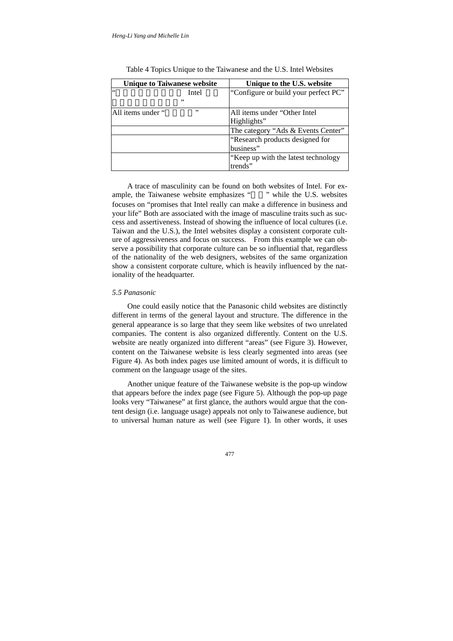| <b>Unique to Taiwanese website</b> |       | Unique to the U.S. website           |
|------------------------------------|-------|--------------------------------------|
| $\leq$ $\leq$                      | Intel | "Configure or build your perfect PC" |
|                                    | ,,    |                                      |
| All items under "                  | ,,    | All items under "Other Intel"        |
|                                    |       | Highlights"                          |
|                                    |       | The category "Ads & Events Center"   |
|                                    |       | "Research products designed for      |
|                                    |       | business"                            |
|                                    |       | "Keep up with the latest technology  |
|                                    |       | trends"                              |

Table 4 Topics Unique to the Taiwanese and the U.S. Intel Websites

A trace of masculinity can be found on both websites of Intel. For example, the Taiwanese website emphasizes " and " while the U.S. websites focuses on "promises that Intel really can make a difference in business and your life" Both are associated with the image of masculine traits such as success and assertiveness. Instead of showing the influence of local cultures (i.e. Taiwan and the U.S.), the Intel websites display a consistent corporate culture of aggressiveness and focus on success. From this example we can observe a possibility that corporate culture can be so influential that, regardless of the nationality of the web designers, websites of the same organization show a consistent corporate culture, which is heavily influenced by the nationality of the headquarter.

#### *5.5 Panasonic*

One could easily notice that the Panasonic child websites are distinctly different in terms of the general layout and structure. The difference in the general appearance is so large that they seem like websites of two unrelated companies. The content is also organized differently. Content on the U.S. website are neatly organized into different "areas" (see Figure 3). However, content on the Taiwanese website is less clearly segmented into areas (see Figure 4). As both index pages use limited amount of words, it is difficult to comment on the language usage of the sites.

Another unique feature of the Taiwanese website is the pop-up window that appears before the index page (see Figure 5). Although the pop-up page looks very "Taiwanese" at first glance, the authors would argue that the content design (i.e. language usage) appeals not only to Taiwanese audience, but to universal human nature as well (see Figure 1). In other words, it uses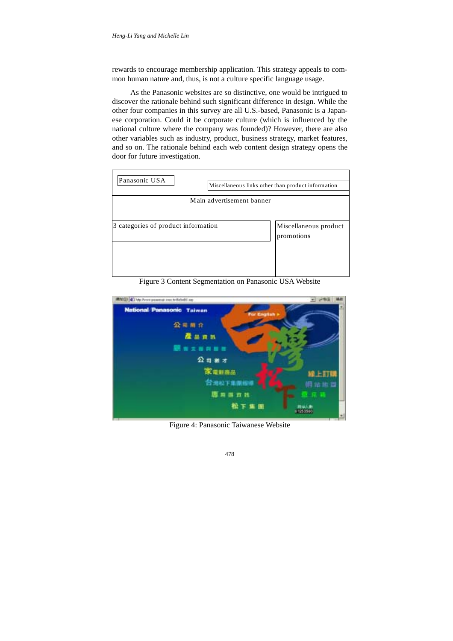rewards to encourage membership application. This strategy appeals to common human nature and, thus, is not a culture specific language usage.

As the Panasonic websites are so distinctive, one would be intrigued to discover the rationale behind such significant difference in design. While the other four companies in this survey are all U.S.-based, Panasonic is a Japanese corporation. Could it be corporate culture (which is influenced by the national culture where the company was founded)? However, there are also other variables such as industry, product, business strategy, market features, and so on. The rationale behind each web content design strategy opens the door for future investigation.



Figure 3 Content Segmentation on Panasonic USA Website



Figure 4: Panasonic Taiwanese Website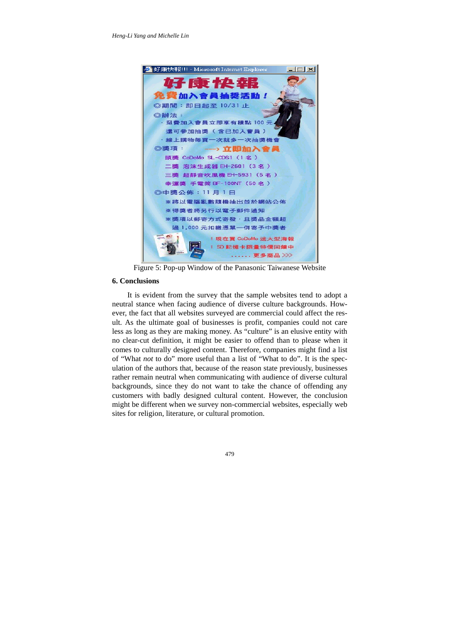

Figure 5: Pop-up Window of the Panasonic Taiwanese Website

# **6. Conclusions**

It is evident from the survey that the sample websites tend to adopt a neutral stance when facing audience of diverse culture backgrounds. However, the fact that all websites surveyed are commercial could affect the result. As the ultimate goal of businesses is profit, companies could not care less as long as they are making money. As "culture" is an elusive entity with no clear-cut definition, it might be easier to offend than to please when it comes to culturally designed content. Therefore, companies might find a list of "What *not* to do" more useful than a list of "What to do". It is the speculation of the authors that, because of the reason state previously, businesses rather remain neutral when communicating with audience of diverse cultural backgrounds, since they do not want to take the chance of offending any customers with badly designed cultural content. However, the conclusion might be different when we survey non-commercial websites, especially web sites for religion, literature, or cultural promotion.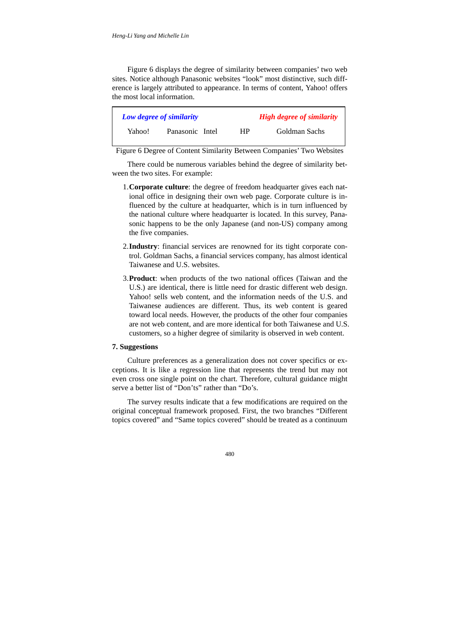Figure 6 displays the degree of similarity between companies' two web sites. Notice although Panasonic websites "look" most distinctive, such difference is largely attributed to appearance. In terms of content, Yahoo! offers the most local information.

| Low degree of similarity |                 | <b>High degree of similarity</b> |               |  |
|--------------------------|-----------------|----------------------------------|---------------|--|
| Yahoo!                   | Panasonic Intel | HР                               | Goldman Sachs |  |

Figure 6 Degree of Content Similarity Between Companies' Two Websites

There could be numerous variables behind the degree of similarity between the two sites. For example:

- 1. **Corporate culture**: the degree of freedom headquarter gives each national office in designing their own web page. Corporate culture is influenced by the culture at headquarter, which is in turn influenced by the national culture where headquarter is located. In this survey, Panasonic happens to be the only Japanese (and non-US) company among the five companies.
- 2. **Industry**: financial services are renowned for its tight corporate control. Goldman Sachs, a financial services company, has almost identical Taiwanese and U.S. websites.
- 3. **Product**: when products of the two national offices (Taiwan and the U.S.) are identical, there is little need for drastic different web design. Yahoo! sells web content, and the information needs of the U.S. and Taiwanese audiences are different. Thus, its web content is geared toward local needs. However, the products of the other four companies are not web content, and are more identical for both Taiwanese and U.S. customers, so a higher degree of similarity is observed in web content.

# **7. Suggestions**

Culture preferences as a generalization does not cover specifics or exceptions. It is like a regression line that represents the trend but may not even cross one single point on the chart. Therefore, cultural guidance might serve a better list of "Don'ts" rather than "Do's.

The survey results indicate that a few modifications are required on the original conceptual framework proposed. First, the two branches "Different topics covered" and "Same topics covered" should be treated as a continuum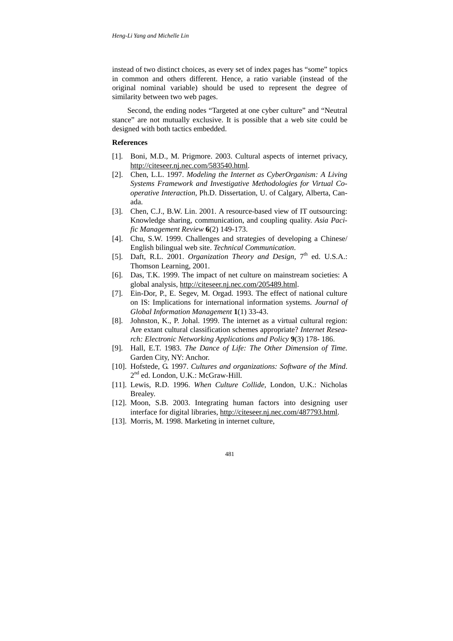instead of two distinct choices, as every set of index pages has "some" topics in common and others different. Hence, a ratio variable (instead of the original nominal variable) should be used to represent the degree of similarity between two web pages.

Second, the ending nodes "Targeted at one cyber culture" and "Neutral stance" are not mutually exclusive. It is possible that a web site could be designed with both tactics embedded.

#### **References**

- [1]. Boni, M.D., M. Prigmore. 2003. Cultural aspects of internet privacy, http://citeseer.nj.nec.com/583540.html.
- [2]. Chen, L.L. 1997. *Modeling the Internet as CyberOrganism: A Living Systems Framework and Investigative Methodologies for Virtual Cooperative Interaction*, Ph.D. Dissertation, U. of Calgary, Alberta, Canada.
- [3]. Chen, C.J., B.W. Lin. 2001. A resource-based view of IT outsourcing: Knowledge sharing, communication, and coupling quality. *Asia Pacific Management Review* **6**(2) 149-173.
- [4]. Chu, S.W. 1999. Challenges and strategies of developing a Chinese/ English bilingual web site. *Technical Communication*.
- [5]. Daft, R.L. 2001. *Organization Theory and Design*, 7<sup>th</sup> ed. U.S.A.: Thomson Learning, 2001.
- [6]. Das, T.K. 1999. The impact of net culture on mainstream societies: A global analysis, http://citeseer.nj.nec.com/205489.html.
- [7]. Ein-Dor, P., E. Segev, M. Orgad. 1993. The effect of national culture on IS: Implications for international information systems. *Journal of Global Information Management* **1**(1) 33-43.
- [8]. Johnston, K., P. Johal. 1999. The internet as a virtual cultural region: Are extant cultural classification schemes appropriate? *Internet Research: Electronic Networking Applications and Policy* **9**(3) 178- 186.
- [9]. Hall, E.T. 1983. *The Dance of Life: The Other Dimension of Time.* Garden City, NY: Anchor.
- [10]. Hofstede, G. 1997. *Cultures and organizations: Software of the Mind*. 2<sup>nd</sup> ed. London, U.K.: McGraw-Hill.
- [11]. Lewis, R.D. 1996. *When Culture Collide,* London, U.K.: Nicholas Brealey.
- [12]. Moon, S.B. 2003. Integrating human factors into designing user interface for digital libraries, http://citeseer.nj.nec.com/487793.html.
- [13]. Morris, M. 1998. Marketing in internet culture,